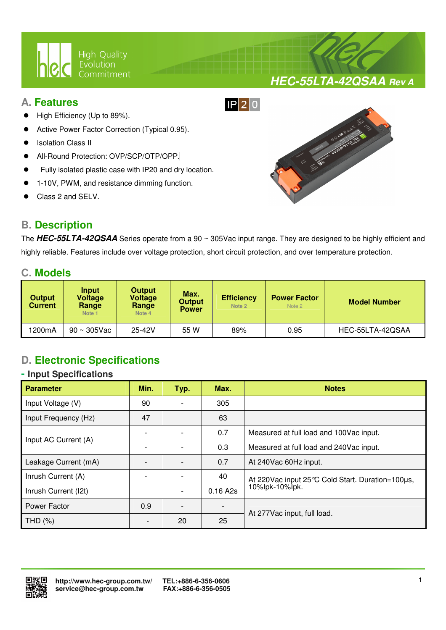

## **A. Features**

- High Efficiency (Up to 89%).
- Active Power Factor Correction (Typical 0.95).
- Isolation Class II
- All-Round Protection: OVP/SCP/OTP/OPP.
- Fully isolated plastic case with IP20 and dry location.

 $\overline{a}$ 

- 1-10V, PWM, and resistance dimming function.
- Class 2 and SELV.

# **B. Description**



**HEC-55LTA-42QSAA Rev A**

The **HEC-55LTA-42QSAA** Series operate from a 90 ~ 305Vac input range. They are designed to be highly efficient and highly reliable. Features include over voltage protection, short circuit protection, and over temperature protection.

## **C. Models**

| <b>Output</b><br><b>Current</b> | Input<br>Voltage<br>Range<br>Note <sub>1</sub> | <b>Output</b><br><b>Voltage</b><br>Range<br>Note 4 | Max.<br><b>Output</b><br><b>Power</b> | <b>Efficiency</b><br>Note 2 | <b>Power Factor</b><br>Note 2 | <b>Model Number</b> |
|---------------------------------|------------------------------------------------|----------------------------------------------------|---------------------------------------|-----------------------------|-------------------------------|---------------------|
| 1200mA                          | $90 \sim 305$ Vac                              | 25-42V                                             | 55 W                                  | 89%                         | 0.95                          | HEC-55LTA-42QSAA    |

# **D. Electronic Specifications**

#### **- Input Specifications**

| <b>Parameter</b>     | Min.                         | Typ. | Max.     | <b>Notes</b>                                        |  |
|----------------------|------------------------------|------|----------|-----------------------------------------------------|--|
| Input Voltage (V)    | 90                           |      | 305      |                                                     |  |
| Input Frequency (Hz) | 47                           |      | 63       |                                                     |  |
| Input AC Current (A) |                              |      | 0.7      | Measured at full load and 100Vac input.             |  |
|                      |                              |      | 0.3      | Measured at full load and 240Vac input.             |  |
| Leakage Current (mA) |                              |      | 0.7      | At 240Vac 60Hz input.                               |  |
| Inrush Current (A)   |                              |      | 40       | At 220 Vac input 25 °C Cold Start. Duration=100 µs, |  |
| Inrush Current (I2t) |                              |      | 0.16 A2s | 10%lpk-10%lpk.                                      |  |
| Power Factor         | 0.9                          |      |          |                                                     |  |
| THD (%)              | $\qquad \qquad \blacksquare$ | 20   | 25       | At 277Vac input, full load.                         |  |

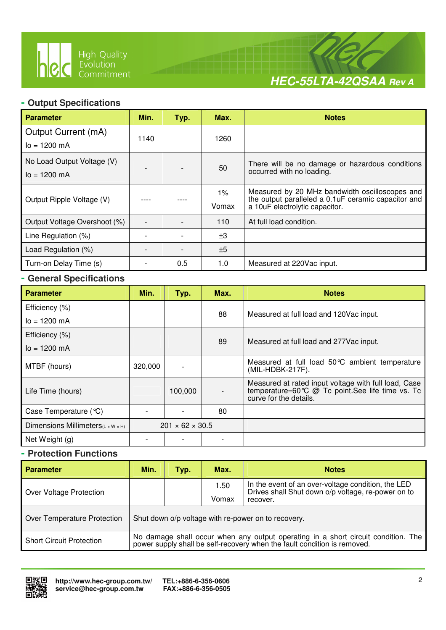

 $\overline{a}$ 



### **- Output Specifications**

| <b>Parameter</b>                              | Min. | Typ. | Max.           | <b>Notes</b>                                                                                                                            |
|-----------------------------------------------|------|------|----------------|-----------------------------------------------------------------------------------------------------------------------------------------|
| Output Current (mA)<br>$I_0 = 1200$ mA        | 1140 |      | 1260           |                                                                                                                                         |
| No Load Output Voltage (V)<br>$I_0 = 1200$ mA |      |      | 50             | There will be no damage or hazardous conditions<br>occurred with no loading.                                                            |
| Output Ripple Voltage (V)                     |      |      | $1\%$<br>Vomax | Measured by 20 MHz bandwidth oscilloscopes and<br>the output paralleled a 0.1uF ceramic capacitor and<br>a 10uF electrolytic capacitor. |
| Output Voltage Overshoot (%)                  |      |      | 110            | At full load condition.                                                                                                                 |
| Line Regulation (%)                           |      |      | ±3             |                                                                                                                                         |
| Load Regulation (%)                           |      |      | ±5             |                                                                                                                                         |
| Turn-on Delay Time (s)                        |      | 0.5  | 1.0            | Measured at 220Vac input.                                                                                                               |

### **- General Specifications**

| <b>Parameter</b>                               | Min.    | Typ.                        | Max. | <b>Notes</b>                                                                                                                                                  |  |
|------------------------------------------------|---------|-----------------------------|------|---------------------------------------------------------------------------------------------------------------------------------------------------------------|--|
| Efficiency (%)                                 |         |                             | 88   | Measured at full load and 120Vac input.                                                                                                                       |  |
| $I_0 = 1200$ mA                                |         |                             |      |                                                                                                                                                               |  |
| Efficiency (%)                                 |         |                             |      |                                                                                                                                                               |  |
| $I_0 = 1200$ mA                                |         |                             | 89   | Measured at full load and 277 Vac input.                                                                                                                      |  |
| MTBF (hours)                                   | 320,000 |                             |      | Measured at full load 50°C ambient temperature<br>(MIL-HDBK-217F).                                                                                            |  |
| Life Time (hours)                              |         | 100,000                     |      | Measured at rated input voltage with full load, Case<br>temperature=60 $\degree$ $\degree$ $\degree$ Tc point. See life time vs. Tc<br>curve for the details. |  |
| Case Temperature (°C)                          |         |                             | 80   |                                                                                                                                                               |  |
| Dimensions Millimeters $(L \times W \times H)$ |         | $201 \times 62 \times 30.5$ |      |                                                                                                                                                               |  |
| Net Weight (g)                                 |         |                             |      |                                                                                                                                                               |  |

### **- Protection Functions**

| <b>Parameter</b>                | Min.                                                                                                                                                       | Typ. | Max.          | <b>Notes</b>                                                                                                         |  |
|---------------------------------|------------------------------------------------------------------------------------------------------------------------------------------------------------|------|---------------|----------------------------------------------------------------------------------------------------------------------|--|
| Over Voltage Protection         |                                                                                                                                                            |      | 1.50<br>Vomax | In the event of an over-voltage condition, the LED<br>Drives shall Shut down o/p voltage, re-power on to<br>recover. |  |
| Over Temperature Protection     |                                                                                                                                                            |      |               | Shut down o/p voltage with re-power on to recovery.                                                                  |  |
| <b>Short Circuit Protection</b> | No damage shall occur when any output operating in a short circuit condition. The power supply shall be self-recovery when the fault condition is removed. |      |               |                                                                                                                      |  |

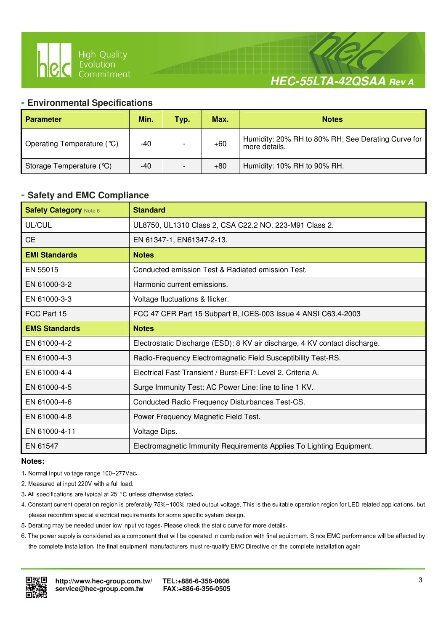

# **HEC-55LTA-42QSAA Rev A**

#### **- Environmental Specifications**

 $\overline{a}$ 

| <b>Parameter</b>           | Min. | Typ. | Max.  | <b>Notes</b>                                                        |
|----------------------------|------|------|-------|---------------------------------------------------------------------|
| Operating Temperature (°C) | -40  |      | $+60$ | Humidity: 20% RH to 80% RH; See Derating Curve for<br>more details. |
| Storage Temperature (°C)   | -40  |      | $+80$ | Humidity: 10% RH to 90% RH.                                         |

#### **- Safety and EMC Compliance**

| <b>Safety Category Note 6</b> | <b>Standard</b>                                                            |
|-------------------------------|----------------------------------------------------------------------------|
| UL/CUL                        | UL8750, UL1310 Class 2, CSA C22.2 NO. 223-M91 Class 2.                     |
| <b>CE</b>                     | EN 61347-1, EN61347-2-13.                                                  |
| <b>EMI Standards</b>          | <b>Notes</b>                                                               |
| EN 55015                      | Conducted emission Test & Radiated emission Test.                          |
| EN 61000-3-2                  | Harmonic current emissions.                                                |
| EN 61000-3-3                  | Voltage fluctuations & flicker.                                            |
| FCC Part 15                   | FCC 47 CFR Part 15 Subpart B, ICES-003 Issue 4 ANSI C63.4-2003             |
| <b>EMS Standards</b>          | <b>Notes</b>                                                               |
| EN 61000-4-2                  | Electrostatic Discharge (ESD): 8 KV air discharge, 4 KV contact discharge. |
| EN 61000-4-3                  | Radio-Frequency Electromagnetic Field Susceptibility Test-RS.              |
| EN 61000-4-4                  | Electrical Fast Transient / Burst-EFT: Level 2, Criteria A.                |
| EN 61000-4-5                  | Surge Immunity Test: AC Power Line: line to line 1 KV.                     |
| EN 61000-4-6                  | Conducted Radio Frequency Disturbances Test-CS.                            |
| EN 61000-4-8                  | Power Frequency Magnetic Field Test.                                       |
| EN 61000-4-11                 | Voltage Dips.                                                              |
| EN 61547                      | Electromagnetic Immunity Requirements Applies To Lighting Equipment.       |

#### **Notes:**

- 1. Normal input voltage range 100~277Vac.
- 2. Measured at input 220V with a full load.
- 3. All specifications are typical at 25 °C unless otherwise stated.
- 4. Constant current operation region is preferably 75%~100% rated output voltage. This is the suitable operation region for LED related applications, but please reconfirm special electrical requirements for some specific system design.
- 5. Derating may be needed under low input voltages. Please check the static curve for more details.
- 6. The power supply is considered as a component that will be operated in combination with final equipment. Since EMC performance will be affected by the complete installation, the final equipment manufacturers must re-qualify EMC Directive on the complete installation again

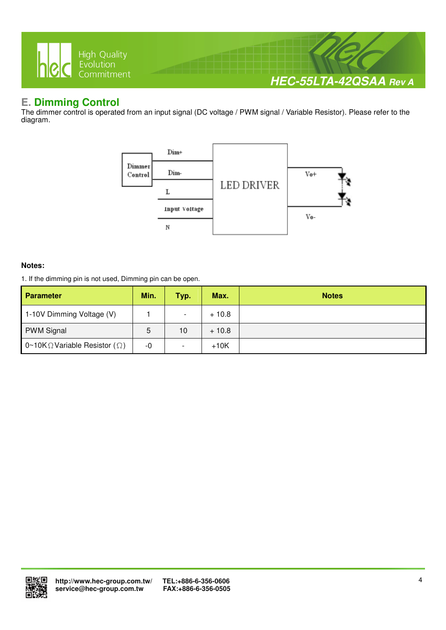

# **E. Dimming Control**

The dimmer control is operated from an input signal (DC voltage / PWM signal / Variable Resistor). Please refer to the diagram.



#### **Notes:**

1. If the dimming pin is not used, Dimming pin can be open.

| <b>Parameter</b>                              | Min. | Typ. | Max.    | <b>Notes</b> |
|-----------------------------------------------|------|------|---------|--------------|
| 1-10V Dimming Voltage (V)                     |      |      | $+10.8$ |              |
| <b>PWM Signal</b>                             | 5    | 10   | $+10.8$ |              |
| 0~10K $\Omega$ Variable Resistor ( $\Omega$ ) | -0   |      | $+10K$  |              |

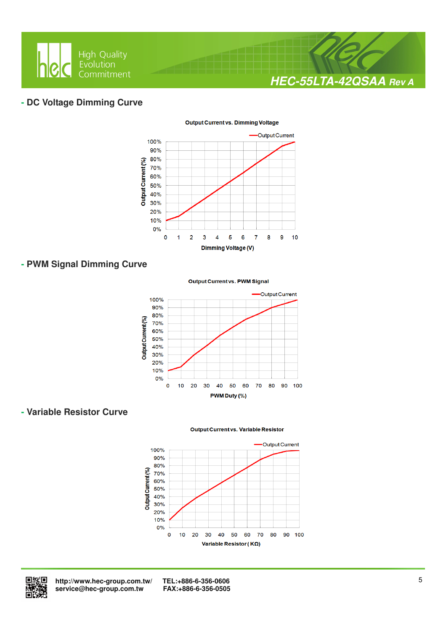

#### **- DC Voltage Dimming Curve**



#### **Output Current vs. Dimming Voltage**

### **- PWM Signal Dimming Curve**

#### **Output Current vs. PWM Signal**



#### **- Variable Resistor Curve**

#### **Output Current vs. Variable Resistor**





 **http://www.hec-group.com.tw/ TEL:+886-6-356-0606**   $s$ ervice@hec-group.com.tw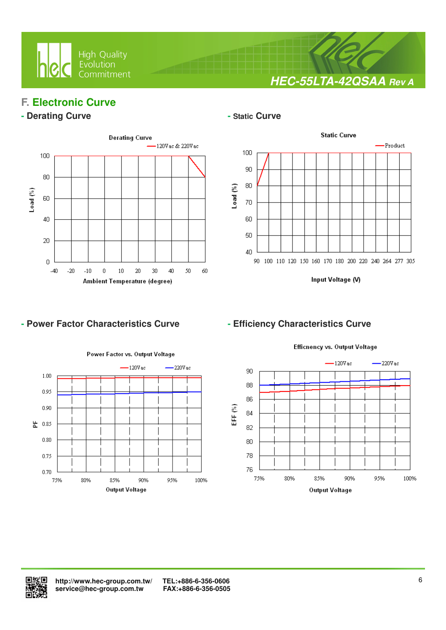

**HEC-55LTA-42QSAA Rev A**

# **F. Electronic Curve**

#### **- Derating Curve**  $\qquad$  **1989**



 $\overline{a}$ 



Input Voltage (V)

## - Power Factor Characteristics Curve **- Efficiency Characteristics Curve**



Efficnency vs. Output Voltage



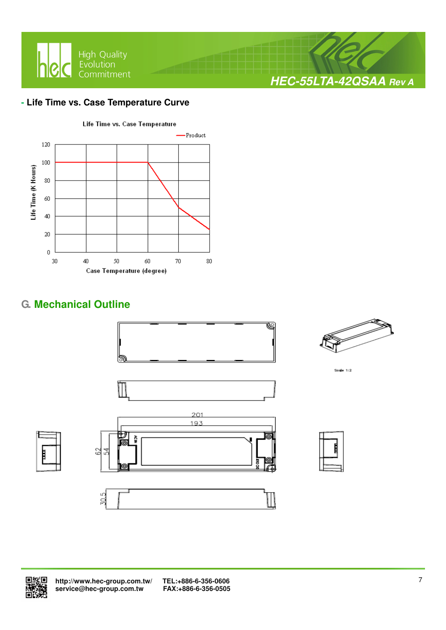

### **- Life Time vs. Case Temperature Curve**



# **G. Mechanical Outline**





Sccie  $1:2$ 







 **http://www.hec-group.com.tw/ TEL:+886-6-356-0606**  service@hec-group.com.tw